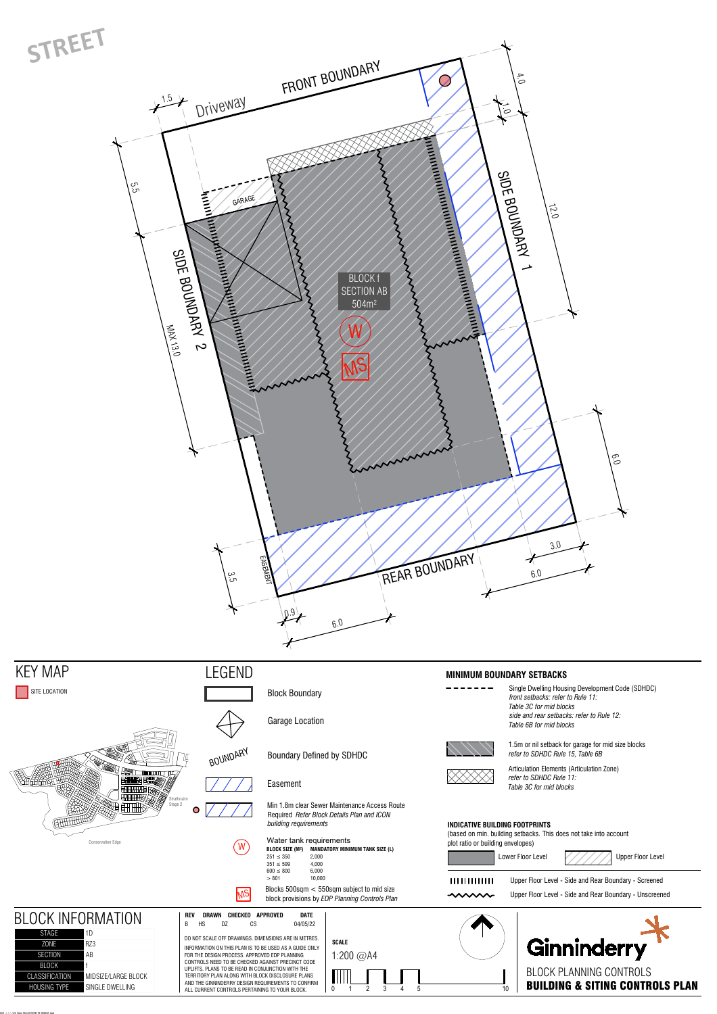